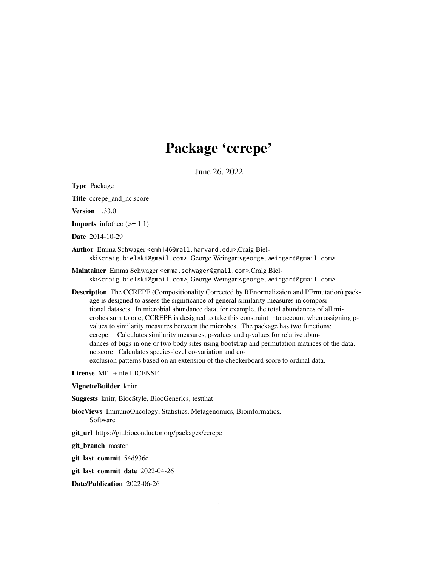# Package 'ccrepe'

June 26, 2022

Type Package Title ccrepe\_and\_nc.score Version 1.33.0 **Imports** infotheo  $(>= 1.1)$ Date 2014-10-29 Author Emma Schwager <emh146@mail.harvard.edu>,Craig Bielski<craig.bielski@gmail.com>, George Weingart<george.weingart@gmail.com> Maintainer Emma Schwager <emma.schwager@gmail.com>,Craig Bielski<craig.bielski@gmail.com>, George Weingart<george.weingart@gmail.com> Description The CCREPE (Compositionality Corrected by REnormalizaion and PErmutation) package is designed to assess the significance of general similarity measures in compositional datasets. In microbial abundance data, for example, the total abundances of all microbes sum to one; CCREPE is designed to take this constraint into account when assigning pvalues to similarity measures between the microbes. The package has two functions: ccrepe: Calculates similarity measures, p-values and q-values for relative abundances of bugs in one or two body sites using bootstrap and permutation matrices of the data. nc.score: Calculates species-level co-variation and coexclusion patterns based on an extension of the checkerboard score to ordinal data. License MIT + file LICENSE VignetteBuilder knitr

Suggests knitr, BiocStyle, BiocGenerics, testthat

- biocViews ImmunoOncology, Statistics, Metagenomics, Bioinformatics, Software
- git\_url https://git.bioconductor.org/packages/ccrepe

git\_branch master

git\_last\_commit 54d936c

git\_last\_commit\_date 2022-04-26

Date/Publication 2022-06-26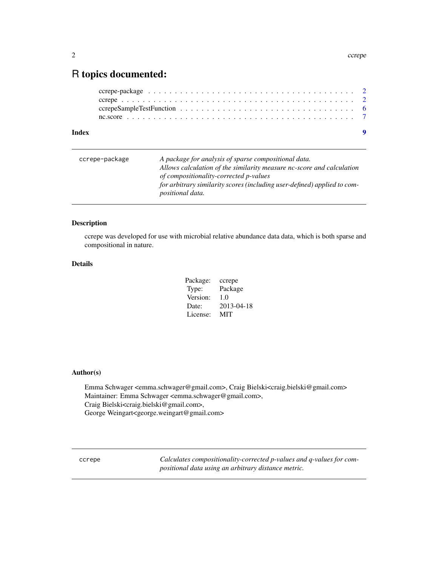# <span id="page-1-0"></span>R topics documented:

#### **Index** [9](#page-8-0)

| ccrepe-package | A package for analysis of sparse compositional data.<br>Allows calculation of the similarity measure nc-score and calculation                 |
|----------------|-----------------------------------------------------------------------------------------------------------------------------------------------|
|                | of compositionality-corrected p-values<br>for arbitrary similarity scores (including user-defined) applied to com-<br><i>positional data.</i> |

# Description

ccrepe was developed for use with microbial relative abundance data data, which is both sparse and compositional in nature.

# Details

| Package: | ccrepe     |
|----------|------------|
| Type:    | Package    |
| Version: | 1.0        |
| Date:    | 2013-04-18 |
| License: | MIT        |

# Author(s)

Emma Schwager <emma.schwager@gmail.com>, Craig Bielski<craig.bielski@gmail.com> Maintainer: Emma Schwager <emma.schwager@gmail.com>, Craig Bielski<craig.bielski@gmail.com>, George Weingart<george.weingart@gmail.com>

ccrepe *Calculates compositionality-corrected p-values and q-values for compositional data using an arbitrary distance metric.*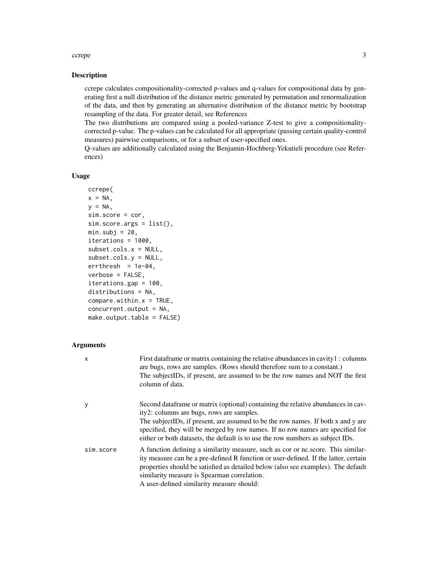#### ccrepe 3

#### Description

ccrepe calculates compositionality-corrected p-values and q-values for compositional data by generating first a null distribution of the distance metric generated by permutation and renormalization of the data, and then by generating an alternative distribution of the distance metric by bootstrap resampling of the data. For greater detail, see References

The two distributions are compared using a pooled-variance Z-test to give a compositionalitycorrected p-value. The p-values can be calculated for all appropriate (passing certain quality-control measures) pairwise comparisons, or for a subset of user-specified ones.

Q-values are additionally calculated using the Benjamin-Hochberg-Yekutieli procedure (see References)

# Usage

```
ccrepe(
x = NA,
y = NA,
sim.score = cor,
sim.score.args = list(),
min.subj = 20,iterations = 1000,
subset.cols.x = NULL,
subset.cols.y = NULL,
errthresh = 1e-04,
verbose = FALSE,
iterations.gap = 100,
distributions = NA,
compare.util.in.x = TRUE,concurrent.output = NA,
make.output.table = FALSE)
```
#### Arguments

| $\mathsf{x}$ | First data frame or matrix containing the relative abundances in cavity $1:$ columns<br>are bugs, rows are samples. (Rows should therefore sum to a constant.)<br>The subjectIDs, if present, are assumed to be the row names and NOT the first<br>column of data.                                                                                                                    |
|--------------|---------------------------------------------------------------------------------------------------------------------------------------------------------------------------------------------------------------------------------------------------------------------------------------------------------------------------------------------------------------------------------------|
| y            | Second dataframe or matrix (optional) containing the relative abundances in cav-<br>ity2: columns are bugs, rows are samples.<br>The subjectIDs, if present, are assumed to be the row names. If both x and y are<br>specified, they will be merged by row names. If no row names are specified for<br>either or both datasets, the default is to use the row numbers as subject IDs. |
| sim.score    | A function defining a similarity measure, such as cor or ne.score. This similar-<br>ity measure can be a pre-defined R function or user-defined. If the latter, certain<br>properties should be satisfied as detailed below (also see examples). The default<br>similarity measure is Spearman correlation.<br>$\Delta$ user-defined similarity measure should:                       |

A user-defined similarity measure should: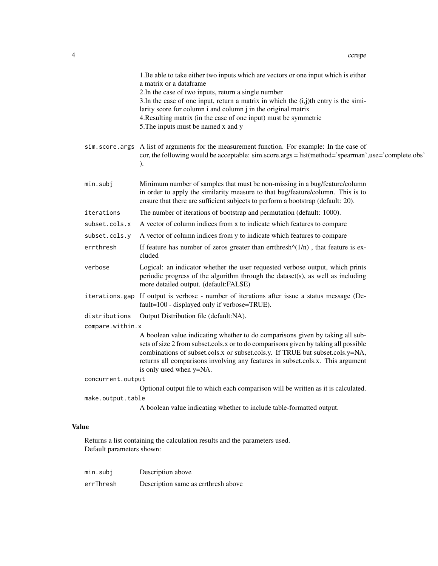|                                                                            |                   | 1. Be able to take either two inputs which are vectors or one input which is either<br>a matrix or a dataframe<br>2. In the case of two inputs, return a single number<br>3. In the case of one input, return a matrix in which the $(i,j)$ th entry is the simi-<br>larity score for column i and column j in the original matrix<br>4. Resulting matrix (in the case of one input) must be symmetric<br>5. The inputs must be named x and y |
|----------------------------------------------------------------------------|-------------------|-----------------------------------------------------------------------------------------------------------------------------------------------------------------------------------------------------------------------------------------------------------------------------------------------------------------------------------------------------------------------------------------------------------------------------------------------|
|                                                                            |                   | sim. score. args A list of arguments for the measurement function. For example: In the case of<br>cor, the following would be acceptable: sim.score.args = list(method='spearman',use='complete.obs'<br>$\mathcal{L}$                                                                                                                                                                                                                         |
|                                                                            | min.subj          | Minimum number of samples that must be non-missing in a bug/feature/column<br>in order to apply the similarity measure to that bug/feature/column. This is to<br>ensure that there are sufficient subjects to perform a bootstrap (default: 20).                                                                                                                                                                                              |
|                                                                            | iterations        | The number of iterations of bootstrap and permutation (default: 1000).                                                                                                                                                                                                                                                                                                                                                                        |
|                                                                            | subset.cols.x     | A vector of column indices from x to indicate which features to compare                                                                                                                                                                                                                                                                                                                                                                       |
|                                                                            | subset.cols.y     | A vector of column indices from y to indicate which features to compare                                                                                                                                                                                                                                                                                                                                                                       |
|                                                                            | errthresh         | If feature has number of zeros greater than errthresh $\sqrt{(1/n)}$ , that feature is ex-<br>cluded                                                                                                                                                                                                                                                                                                                                          |
|                                                                            | verbose           | Logical: an indicator whether the user requested verbose output, which prints<br>periodic progress of the algorithm through the dataset(s), as well as including<br>more detailed output. (default:FALSE)                                                                                                                                                                                                                                     |
|                                                                            | iterations.gap    | If output is verbose - number of iterations after issue a status message (De-<br>fault=100 - displayed only if verbose=TRUE).                                                                                                                                                                                                                                                                                                                 |
|                                                                            | distributions     | Output Distribution file (default:NA).                                                                                                                                                                                                                                                                                                                                                                                                        |
| compare.within.x                                                           |                   |                                                                                                                                                                                                                                                                                                                                                                                                                                               |
|                                                                            |                   | A boolean value indicating whether to do comparisons given by taking all sub-<br>sets of size 2 from subset.cols.x or to do comparisons given by taking all possible<br>combinations of subset.cols.x or subset.cols.y. If TRUE but subset.cols.y=NA,<br>returns all comparisons involving any features in subset.cols.x. This argument<br>is only used when y=NA.                                                                            |
|                                                                            | concurrent.output |                                                                                                                                                                                                                                                                                                                                                                                                                                               |
|                                                                            |                   | Optional output file to which each comparison will be written as it is calculated.                                                                                                                                                                                                                                                                                                                                                            |
|                                                                            | make.output.table |                                                                                                                                                                                                                                                                                                                                                                                                                                               |
|                                                                            |                   | A boolean value indicating whether to include table-formatted output.                                                                                                                                                                                                                                                                                                                                                                         |
| <b>Value</b>                                                               |                   |                                                                                                                                                                                                                                                                                                                                                                                                                                               |
| Returns a list containing the calculation results and the parameters used. |                   |                                                                                                                                                                                                                                                                                                                                                                                                                                               |

Default parameters shown:

| min.subj  | Description above                   |
|-----------|-------------------------------------|
| errThresh | Description same as errthresh above |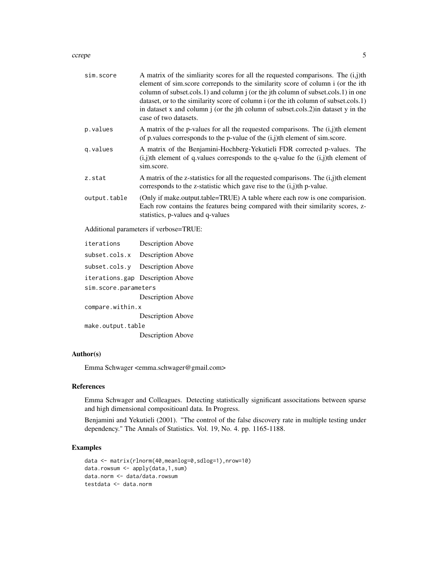#### ccrepe 5

| sim.score    | A matrix of the similarity scores for all the requested comparisons. The $(i,j)$ th<br>element of sim.score correponds to the similarity score of column i (or the ith<br>column of subset.cols.1) and column j (or the jth column of subset.cols.1) in one<br>dataset, or to the similarity score of column i (or the ith column of subset.cols.1)<br>in dataset x and column $\mathbf j$ (or the jth column of subset.cols.2) in dataset y in the<br>case of two datasets. |
|--------------|------------------------------------------------------------------------------------------------------------------------------------------------------------------------------------------------------------------------------------------------------------------------------------------------------------------------------------------------------------------------------------------------------------------------------------------------------------------------------|
| p.values     | A matrix of the p-values for all the requested comparisons. The $(i, j)$ th element<br>of p. values corresponds to the p-value of the $(i,j)$ th element of sim.score.                                                                                                                                                                                                                                                                                                       |
| q.values     | A matrix of the Benjamini-Hochberg-Yekutieli FDR corrected p-values. The<br>$(i, j)$ th element of q.values corresponds to the q-value fo the $(i, j)$ th element of<br>sim.score.                                                                                                                                                                                                                                                                                           |
| z.stat       | A matrix of the z-statistics for all the requested comparisons. The $(i,j)$ th element<br>corresponds to the z-statistic which gave rise to the $(i,j)$ th p-value.                                                                                                                                                                                                                                                                                                          |
| output.table | (Only if make.output.table=TRUE) A table where each row is one comparision.<br>Each row contains the features being compared with their similarity scores, z-<br>statistics, p-values and q-values                                                                                                                                                                                                                                                                           |
|              | Additional parameters if verbose=TRUE:                                                                                                                                                                                                                                                                                                                                                                                                                                       |

| iterations           | <b>Description Above</b> |  |
|----------------------|--------------------------|--|
| subset.cols.x        | <b>Description Above</b> |  |
| subset.cols.y        | Description Above        |  |
| iterations.gap       | <b>Description Above</b> |  |
| sim.score.parameters |                          |  |
|                      | <b>Description Above</b> |  |
| compare.within.x     |                          |  |
|                      | <b>Description Above</b> |  |
| make.output.table    |                          |  |
|                      | <b>Description Above</b> |  |

# Author(s)

Emma Schwager <emma.schwager@gmail.com>

#### References

Emma Schwager and Colleagues. Detecting statistically significant associtations between sparse and high dimensional compositioanl data. In Progress.

Benjamini and Yekutieli (2001). "The control of the false discovery rate in multiple testing under dependency." The Annals of Statistics. Vol. 19, No. 4. pp. 1165-1188.

# Examples

```
data <- matrix(rlnorm(40,meanlog=0,sdlog=1),nrow=10)
data.rowsum <- apply(data,1,sum)
data.norm <- data/data.rowsum
testdata <- data.norm
```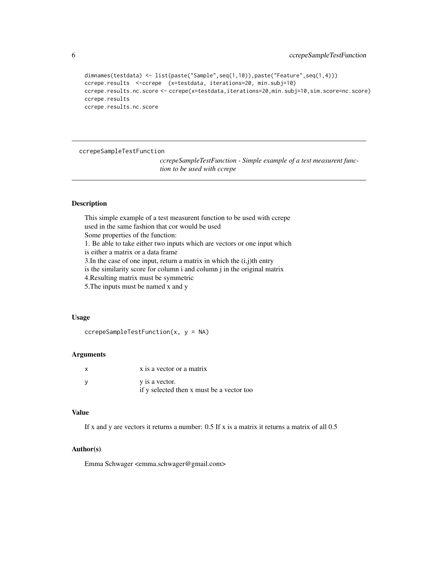```
dimnames(testdata) <- list(paste("Sample",seq(1,10)),paste("Feature",seq(1,4)))
ccrepe.results <-ccrepe (x=testdata, iterations=20, min.subj=10)
ccrepe.results.nc.score <- ccrepe(x=testdata,iterations=20,min.subj=10,sim.score=nc.score)
ccrepe.results
ccrepe.results.nc.score
```
ccrepeSampleTestFunction

*ccrepeSampleTestFunction - Simple example of a test measurent function to be used with ccrepe*

#### Description

This simple example of a test measurent function to be used with ccrepe used in the same fashion that cor would be used Some properties of the function: 1. Be able to take either two inputs which are vectors or one input which is either a matrix or a data frame 3. In the case of one input, return a matrix in which the  $(i,j)$ th entry is the similarity score for column i and column j in the original matrix 4.Resulting matrix must be symmetric 5.The inputs must be named x and y

#### Usage

```
ccrepeSampleTestFunction(x, y = NA)
```
#### **Arguments**

| x is a vector or a matrix                 |
|-------------------------------------------|
| y is a vector.                            |
| if y selected then x must be a vector too |

# Value

If x and y are vectors it returns a number:  $0.5$  If x is a matrix it returns a matrix of all  $0.5$ 

# Author(s)

Emma Schwager <emma.schwager@gmail.com>

<span id="page-5-0"></span>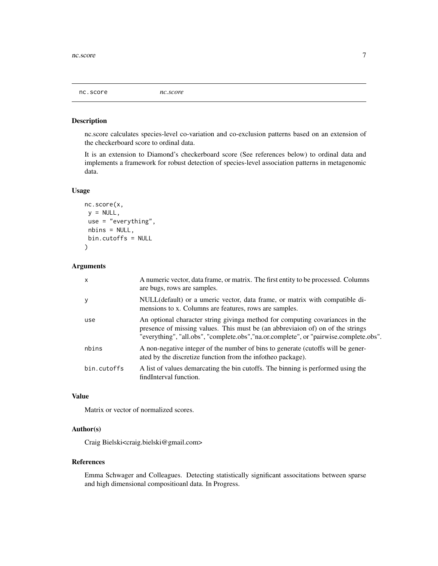<span id="page-6-0"></span>nc.score *nc.score*

#### Description

nc.score calculates species-level co-variation and co-exclusion patterns based on an extension of the checkerboard score to ordinal data.

It is an extension to Diamond's checkerboard score (See references below) to ordinal data and implements a framework for robust detection of species-level association patterns in metagenomic data.

#### Usage

```
nc.score(x,
y = NULL,use = "everything",
nbins = NULL,
bin.cutoffs = NULL
\lambda
```
#### Arguments

| X           | A numeric vector, data frame, or matrix. The first entity to be processed. Columns<br>are bugs, rows are samples.                                                                                                                                        |
|-------------|----------------------------------------------------------------------------------------------------------------------------------------------------------------------------------------------------------------------------------------------------------|
| y           | NULL(default) or a umeric vector, data frame, or matrix with compatible di-<br>mensions to x. Columns are features, rows are samples.                                                                                                                    |
| use         | An optional character string giving method for computing covariances in the<br>presence of missing values. This must be (an abbreviation of) on of the strings<br>"everything", "all.obs", "complete.obs", "na.or.complete", or "pairwise.complete.obs". |
| nbins       | A non-negative integer of the number of bins to generate (cutoffs will be gener-<br>ated by the discretize function from the infotheo package).                                                                                                          |
| bin.cutoffs | A list of values demarcating the bin cutoffs. The binning is performed using the<br>findInterval function.                                                                                                                                               |

# Value

Matrix or vector of normalized scores.

# Author(s)

Craig Bielski<craig.bielski@gmail.com>

#### References

Emma Schwager and Colleagues. Detecting statistically significant associtations between sparse and high dimensional compositioanl data. In Progress.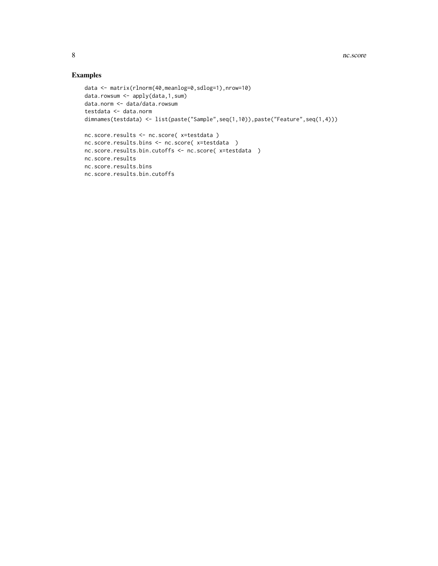# Examples

```
data <- matrix(rlnorm(40,meanlog=0,sdlog=1),nrow=10)
data.rowsum <- apply(data,1,sum)
data.norm <- data/data.rowsum
testdata <- data.norm
dimnames(testdata) <- list(paste("Sample",seq(1,10)),paste("Feature",seq(1,4)))
nc.score.results <- nc.score( x=testdata )
nc.score.results.bins <- nc.score( x=testdata )
nc.score.results.bin.cutoffs <- nc.score( x=testdata )
nc.score.results
nc.score.results.bins
nc.score.results.bin.cutoffs
```